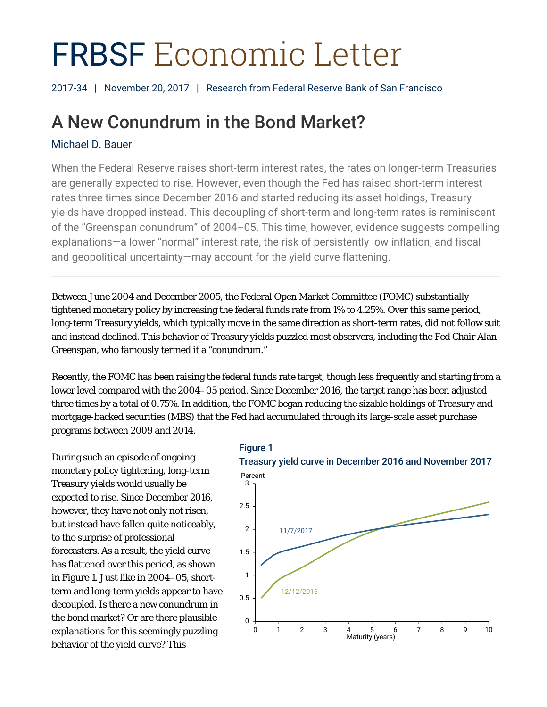# FRBSF Economic Letter

2017-34 | November 20, 2017 | Research from Federal Reserve Bank of San Francisco

## A New Conundrum in the Bond Market?

#### Michael D. Bauer

When the Federal Reserve raises short-term interest rates, the rates on longer-term Treasuries are generally expected to rise. However, even though the Fed has raised short-term interest rates three times since December 2016 and started reducing its asset holdings, Treasury yields have dropped instead. This decoupling of short-term and long-term rates is reminiscent of the "Greenspan conundrum" of 2004–05. This time, however, evidence suggests compelling explanations—a lower "normal" interest rate, the risk of persistently low inflation, and fiscal and geopolitical uncertainty—may account for the yield curve flattening.

Between June 2004 and December 2005, the Federal Open Market Committee (FOMC) substantially tightened monetary policy by increasing the federal funds rate from 1% to 4.25%. Over this same period, long-term Treasury yields, which typically move in the same direction as short-term rates, did not follow suit and instead declined. This behavior of Treasury yields puzzled most observers, including the Fed Chair Alan Greenspan, who famously termed it a "conundrum."

Recently, the FOMC has been raising the federal funds rate target, though less frequently and starting from a lower level compared with the 2004–05 period. Since December 2016, the target range has been adjusted three times by a total of 0.75%. In addition, the FOMC began reducing the sizable holdings of Treasury and mortgage-backed securities (MBS) that the Fed had accumulated through its large-scale asset purchase programs between 2009 and 2014.

During such an episode of ongoing monetary policy tightening, long-term Treasury yields would usually be expected to rise. Since December 2016, however, they have not only not risen, but instead have fallen quite noticeably, to the surprise of professional forecasters. As a result, the yield curve has flattened over this period, as shown in Figure 1. Just like in 2004–05, shortterm and long-term yields appear to have decoupled. Is there a new conundrum in the bond market? Or are there plausible explanations for this seemingly puzzling behavior of the yield curve? This

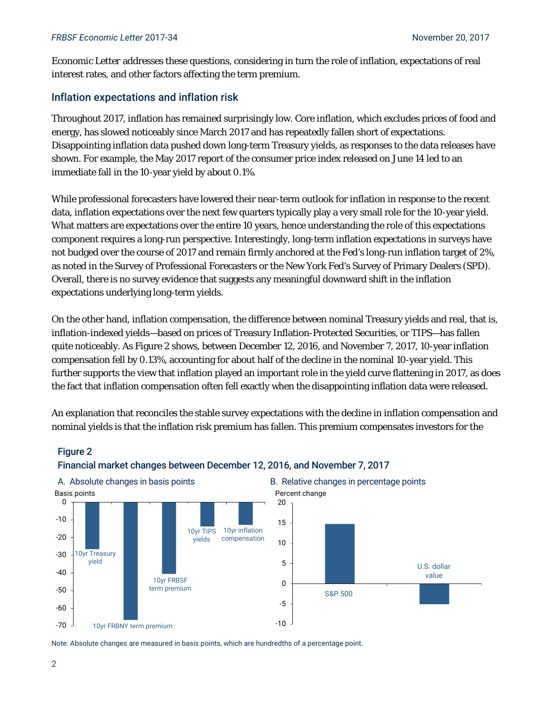*Economic Letter* addresses these questions, considering in turn the role of inflation, expectations of real interest rates, and other factors affecting the term premium.

#### Inflation expectations and inflation risk

Throughout 2017, inflation has remained surprisingly low. Core inflation, which excludes prices of food and energy, has slowed noticeably since March 2017 and has repeatedly fallen short of expectations. Disappointing inflation data pushed down long-term Treasury yields, as responses to the data releases have shown. For example, the May 2017 report of the consumer price index released on June 14 led to an immediate fall in the 10-year yield by about 0.1%.

While professional forecasters have lowered their near-term outlook for inflation in response to the recent data, inflation expectations over the next few quarters typically play a very small role for the 10-year yield. What matters are expectations over the entire 10 years, hence understanding the role of this expectations component requires a long-run perspective. Interestingly, long-term inflation expectations in surveys have not budged over the course of 2017 and remain firmly anchored at the Fed's long-run inflation target of 2%, as noted in the Survey of Professional Forecasters or the New York Fed's Survey of Primary Dealers (SPD). Overall, there is no survey evidence that suggests any meaningful downward shift in the inflation expectations underlying long-term yields.

On the other hand, inflation compensation, the difference between nominal Treasury yields and real, that is, inflation-indexed yields—based on prices of Treasury Inflation-Protected Securities, or TIPS—has fallen quite noticeably. As Figure 2 shows, between December 12, 2016, and November 7, 2017, 10-year inflation compensation fell by 0.13%, accounting for about half of the decline in the nominal 10-year yield. This further supports the view that inflation played an important role in the yield curve flattening in 2017, as does the fact that inflation compensation often fell exactly when the disappointing inflation data were released.

An explanation that reconciles the stable survey expectations with the decline in inflation compensation and nominal yields is that the inflation risk premium has fallen. This premium compensates investors for the



### Financial market changes between December 12, 2016, and November 7, 2017

Note: Absolute changes are measured in basis points, which are hundredths of a percentage point.

Figure 2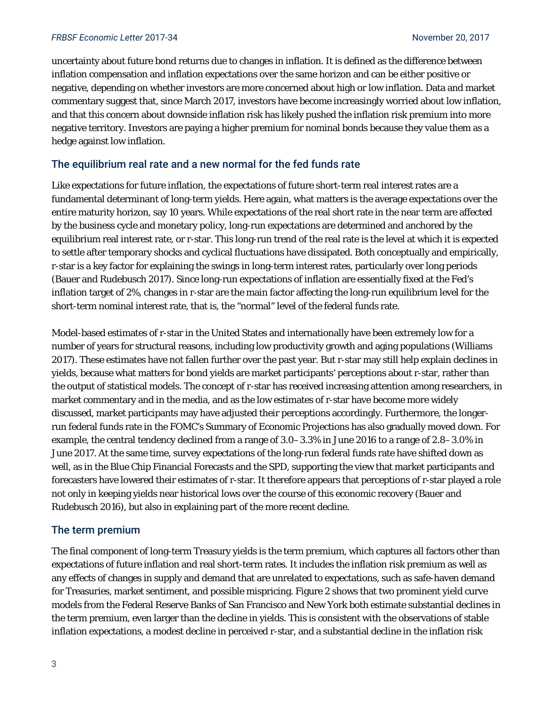uncertainty about future bond returns due to changes in inflation. It is defined as the difference between inflation compensation and inflation expectations over the same horizon and can be either positive or negative, depending on whether investors are more concerned about high or low inflation. Data and market commentary suggest that, since March 2017, investors have become increasingly worried about low inflation, and that this concern about downside inflation risk has likely pushed the inflation risk premium into more negative territory. Investors are paying a higher premium for nominal bonds because they value them as a hedge against low inflation.

#### The equilibrium real rate and a new normal for the fed funds rate

Like expectations for future inflation, the expectations of future short-term real interest rates are a fundamental determinant of long-term yields. Here again, what matters is the average expectations over the entire maturity horizon, say 10 years. While expectations of the real short rate in the near term are affected by the business cycle and monetary policy, long-run expectations are determined and anchored by the equilibrium real interest rate, or r-star. This long-run trend of the real rate is the level at which it is expected to settle after temporary shocks and cyclical fluctuations have dissipated. Both conceptually and empirically, r-star is a key factor for explaining the swings in long-term interest rates, particularly over long periods (Bauer and Rudebusch 2017). Since long-run expectations of inflation are essentially fixed at the Fed's inflation target of 2%, changes in r-star are the main factor affecting the long-run equilibrium level for the short-term nominal interest rate, that is, the "normal" level of the federal funds rate.

Model-based estimates of r-star in the United States and internationally have been extremely low for a number of years for structural reasons, including low productivity growth and aging populations (Williams 2017). These estimates have not fallen further over the past year. But r-star may still help explain declines in yields, because what matters for bond yields are market participants' perceptions about r-star, rather than the output of statistical models. The concept of r-star has received increasing attention among researchers, in market commentary and in the media, and as the low estimates of r-star have become more widely discussed, market participants may have adjusted their perceptions accordingly. Furthermore, the longerrun federal funds rate in the FOMC's Summary of Economic Projections has also gradually moved down. For example, the central tendency declined from a range of 3.0–3.3% in June 2016 to a range of 2.8–3.0% in June 2017. At the same time, survey expectations of the long-run federal funds rate have shifted down as well, as in the Blue Chip Financial Forecasts and the SPD, supporting the view that market participants and forecasters have lowered their estimates of r-star. It therefore appears that perceptions of r-star played a role not only in keeping yields near historical lows over the course of this economic recovery (Bauer and Rudebusch 2016), but also in explaining part of the more recent decline.

#### The term premium

The final component of long-term Treasury yields is the term premium, which captures all factors other than expectations of future inflation and real short-term rates. It includes the inflation risk premium as well as any effects of changes in supply and demand that are unrelated to expectations, such as safe-haven demand for Treasuries, market sentiment, and possible mispricing. Figure 2 shows that two prominent yield curve models from the Federal Reserve Banks of San Francisco and New York both estimate substantial declines in the term premium, even larger than the decline in yields. This is consistent with the observations of stable inflation expectations, a modest decline in perceived r-star, and a substantial decline in the inflation risk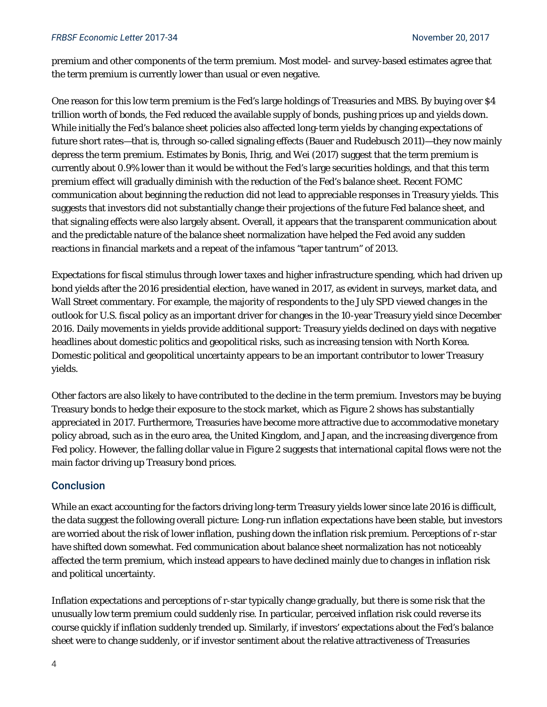premium and other components of the term premium. Most model- and survey-based estimates agree that the term premium is currently lower than usual or even negative.

One reason for this low term premium is the Fed's large holdings of Treasuries and MBS. By buying over \$4 trillion worth of bonds, the Fed reduced the available supply of bonds, pushing prices up and yields down. While initially the Fed's balance sheet policies also affected long-term yields by changing expectations of future short rates—that is, through so-called signaling effects (Bauer and Rudebusch 2011)—they now mainly depress the term premium. Estimates by Bonis, Ihrig, and Wei (2017) suggest that the term premium is currently about 0.9% lower than it would be without the Fed's large securities holdings, and that this term premium effect will gradually diminish with the reduction of the Fed's balance sheet. Recent FOMC communication about beginning the reduction did not lead to appreciable responses in Treasury yields. This suggests that investors did not substantially change their projections of the future Fed balance sheet, and that signaling effects were also largely absent. Overall, it appears that the transparent communication about and the predictable nature of the balance sheet normalization have helped the Fed avoid any sudden reactions in financial markets and a repeat of the infamous "taper tantrum" of 2013.

Expectations for fiscal stimulus through lower taxes and higher infrastructure spending, which had driven up bond yields after the 2016 presidential election, have waned in 2017, as evident in surveys, market data, and Wall Street commentary. For example, the majority of respondents to the July SPD viewed changes in the outlook for U.S. fiscal policy as an important driver for changes in the 10-year Treasury yield since December 2016. Daily movements in yields provide additional support: Treasury yields declined on days with negative headlines about domestic politics and geopolitical risks, such as increasing tension with North Korea. Domestic political and geopolitical uncertainty appears to be an important contributor to lower Treasury yields.

Other factors are also likely to have contributed to the decline in the term premium. Investors may be buying Treasury bonds to hedge their exposure to the stock market, which as Figure 2 shows has substantially appreciated in 2017. Furthermore, Treasuries have become more attractive due to accommodative monetary policy abroad, such as in the euro area, the United Kingdom, and Japan, and the increasing divergence from Fed policy. However, the falling dollar value in Figure 2 suggests that international capital flows were not the main factor driving up Treasury bond prices.

#### **Conclusion**

While an exact accounting for the factors driving long-term Treasury yields lower since late 2016 is difficult, the data suggest the following overall picture: Long-run inflation expectations have been stable, but investors are worried about the risk of lower inflation, pushing down the inflation risk premium. Perceptions of r-star have shifted down somewhat. Fed communication about balance sheet normalization has not noticeably affected the term premium, which instead appears to have declined mainly due to changes in inflation risk and political uncertainty.

Inflation expectations and perceptions of r-star typically change gradually, but there is some risk that the unusually low term premium could suddenly rise. In particular, perceived inflation risk could reverse its course quickly if inflation suddenly trended up. Similarly, if investors' expectations about the Fed's balance sheet were to change suddenly, or if investor sentiment about the relative attractiveness of Treasuries